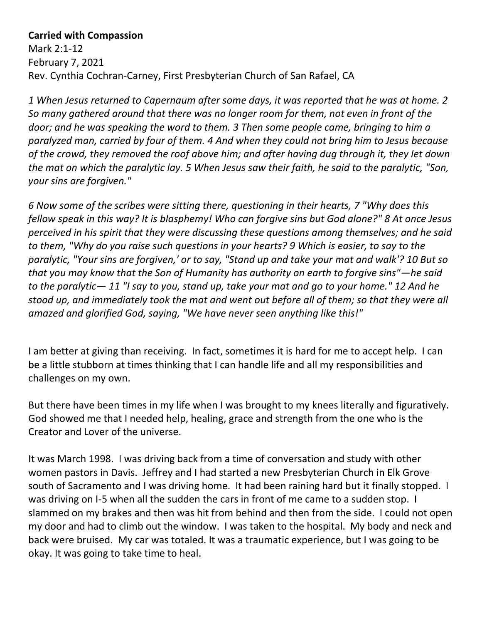## **Carried with Compassion**

Mark 2:1-12 February 7, 2021 Rev. Cynthia Cochran-Carney, First Presbyterian Church of San Rafael, CA

*1 When Jesus returned to Capernaum after some days, it was reported that he was at home. 2 So many gathered around that there was no longer room for them, not even in front of the door; and he was speaking the word to them. 3 Then some people came, bringing to him a paralyzed man, carried by four of them. 4 And when they could not bring him to Jesus because of the crowd, they removed the roof above him; and after having dug through it, they let down the mat on which the paralytic lay. 5 When Jesus saw their faith, he said to the paralytic, "Son, your sins are forgiven."* 

*6 Now some of the scribes were sitting there, questioning in their hearts, 7 "Why does this fellow speak in this way? It is blasphemy! Who can forgive sins but God alone?" 8 At once Jesus perceived in his spirit that they were discussing these questions among themselves; and he said to them, "Why do you raise such questions in your hearts? 9 Which is easier, to say to the paralytic, "Your sins are forgiven,' or to say, "Stand up and take your mat and walk'? 10 But so that you may know that the Son of Humanity has authority on earth to forgive sins"—he said to the paralytic— 11 "I say to you, stand up, take your mat and go to your home." 12 And he stood up, and immediately took the mat and went out before all of them; so that they were all amazed and glorified God, saying, "We have never seen anything like this!"*

I am better at giving than receiving. In fact, sometimes it is hard for me to accept help. I can be a little stubborn at times thinking that I can handle life and all my responsibilities and challenges on my own.

But there have been times in my life when I was brought to my knees literally and figuratively. God showed me that I needed help, healing, grace and strength from the one who is the Creator and Lover of the universe.

It was March 1998. I was driving back from a time of conversation and study with other women pastors in Davis. Jeffrey and I had started a new Presbyterian Church in Elk Grove south of Sacramento and I was driving home. It had been raining hard but it finally stopped. I was driving on I-5 when all the sudden the cars in front of me came to a sudden stop. I slammed on my brakes and then was hit from behind and then from the side. I could not open my door and had to climb out the window. I was taken to the hospital. My body and neck and back were bruised. My car was totaled. It was a traumatic experience, but I was going to be okay. It was going to take time to heal.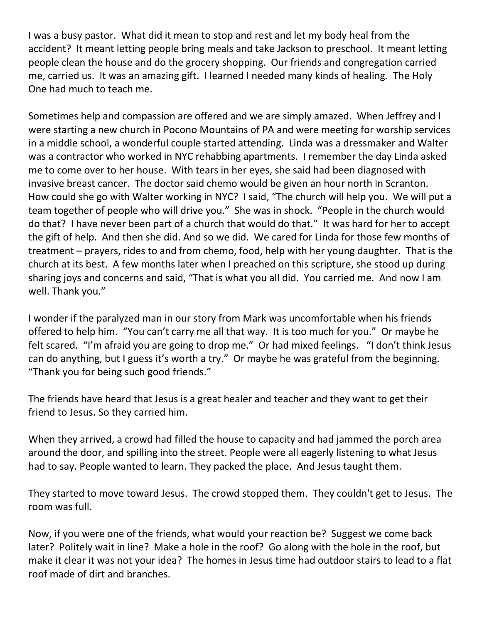I was a busy pastor. What did it mean to stop and rest and let my body heal from the accident? It meant letting people bring meals and take Jackson to preschool. It meant letting people clean the house and do the grocery shopping. Our friends and congregation carried me, carried us. It was an amazing gift. I learned I needed many kinds of healing. The Holy One had much to teach me.

Sometimes help and compassion are offered and we are simply amazed. When Jeffrey and I were starting a new church in Pocono Mountains of PA and were meeting for worship services in a middle school, a wonderful couple started attending. Linda was a dressmaker and Walter was a contractor who worked in NYC rehabbing apartments. I remember the day Linda asked me to come over to her house. With tears in her eyes, she said had been diagnosed with invasive breast cancer. The doctor said chemo would be given an hour north in Scranton. How could she go with Walter working in NYC? I said, "The church will help you. We will put a team together of people who will drive you." She was in shock. "People in the church would do that? I have never been part of a church that would do that." It was hard for her to accept the gift of help. And then she did. And so we did. We cared for Linda for those few months of treatment – prayers, rides to and from chemo, food, help with her young daughter. That is the church at its best. A few months later when I preached on this scripture, she stood up during sharing joys and concerns and said, "That is what you all did. You carried me. And now I am well. Thank you."

I wonder if the paralyzed man in our story from Mark was uncomfortable when his friends offered to help him. "You can't carry me all that way. It is too much for you." Or maybe he felt scared. "I'm afraid you are going to drop me." Or had mixed feelings. "I don't think Jesus can do anything, but I guess it's worth a try." Or maybe he was grateful from the beginning. "Thank you for being such good friends."

The friends have heard that Jesus is a great healer and teacher and they want to get their friend to Jesus. So they carried him.

When they arrived, a crowd had filled the house to capacity and had jammed the porch area around the door, and spilling into the street. People were all eagerly listening to what Jesus had to say. People wanted to learn. They packed the place. And Jesus taught them.

They started to move toward Jesus. The crowd stopped them. They couldn't get to Jesus. The room was full.

Now, if you were one of the friends, what would your reaction be? Suggest we come back later? Politely wait in line? Make a hole in the roof? Go along with the hole in the roof, but make it clear it was not your idea? The homes in Jesus time had outdoor stairs to lead to a flat roof made of dirt and branches.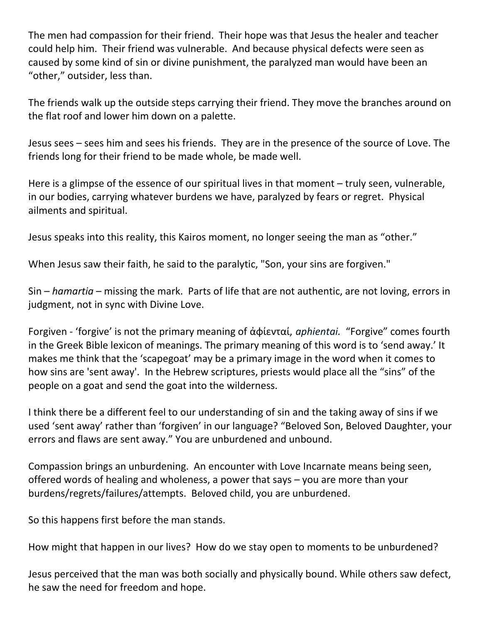The men had compassion for their friend. Their hope was that Jesus the healer and teacher could help him. Their friend was vulnerable. And because physical defects were seen as caused by some kind of sin or divine punishment, the paralyzed man would have been an "other," outsider, less than.

The friends walk up the outside steps carrying their friend. They move the branches around on the flat roof and lower him down on a palette.

Jesus sees – sees him and sees his friends. They are in the presence of the source of Love. The friends long for their friend to be made whole, be made well.

Here is a glimpse of the essence of our spiritual lives in that moment – truly seen, vulnerable, in our bodies, carrying whatever burdens we have, paralyzed by fears or regret. Physical ailments and spiritual.

Jesus speaks into this reality, this Kairos moment, no longer seeing the man as "other."

When Jesus saw their faith, he said to the paralytic, "Son, your sins are forgiven."

Sin – *hamartia* – missing the mark. Parts of life that are not authentic, are not loving, errors in judgment, not in sync with Divine Love.

Forgiven - 'forgive' is not the primary meaning of ἀφίενταί, *aphientai.* "Forgive" comes fourth in the Greek Bible lexicon of meanings. The primary meaning of this word is to 'send away.' It makes me think that the 'scapegoat' may be a primary image in the word when it comes to how sins are 'sent away'. In the Hebrew scriptures, priests would place all the "sins" of the people on a goat and send the goat into the wilderness.

I think there be a different feel to our understanding of sin and the taking away of sins if we used 'sent away' rather than 'forgiven' in our language? "Beloved Son, Beloved Daughter, your errors and flaws are sent away." You are unburdened and unbound.

Compassion brings an unburdening. An encounter with Love Incarnate means being seen, offered words of healing and wholeness, a power that says – you are more than your burdens/regrets/failures/attempts. Beloved child, you are unburdened.

So this happens first before the man stands.

How might that happen in our lives? How do we stay open to moments to be unburdened?

Jesus perceived that the man was both socially and physically bound. While others saw defect, he saw the need for freedom and hope.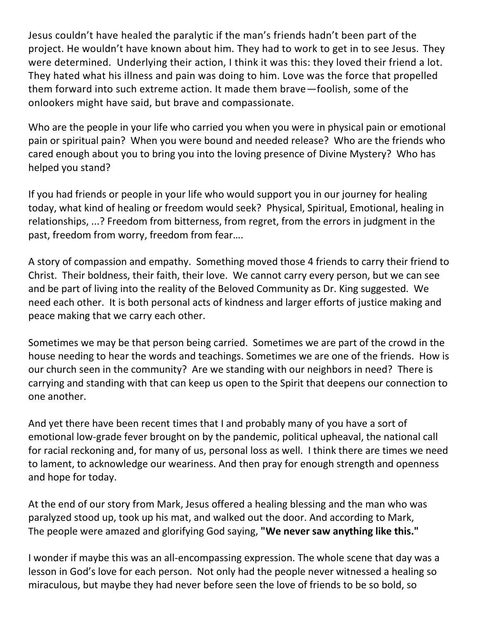Jesus couldn't have healed the paralytic if the man's friends hadn't been part of the project. He wouldn't have known about him. They had to work to get in to see Jesus. They were determined. Underlying their action, I think it was this: they loved their friend a lot. They hated what his illness and pain was doing to him. Love was the force that propelled them forward into such extreme action. It made them brave—foolish, some of the onlookers might have said, but brave and compassionate.

Who are the people in your life who carried you when you were in physical pain or emotional pain or spiritual pain? When you were bound and needed release? Who are the friends who cared enough about you to bring you into the loving presence of Divine Mystery? Who has helped you stand?

If you had friends or people in your life who would support you in our journey for healing today, what kind of healing or freedom would seek? Physical, Spiritual, Emotional, healing in relationships, ...? Freedom from bitterness, from regret, from the errors in judgment in the past, freedom from worry, freedom from fear….

A story of compassion and empathy. Something moved those 4 friends to carry their friend to Christ. Their boldness, their faith, their love. We cannot carry every person, but we can see and be part of living into the reality of the Beloved Community as Dr. King suggested. We need each other. It is both personal acts of kindness and larger efforts of justice making and peace making that we carry each other.

Sometimes we may be that person being carried. Sometimes we are part of the crowd in the house needing to hear the words and teachings. Sometimes we are one of the friends. How is our church seen in the community? Are we standing with our neighbors in need? There is carrying and standing with that can keep us open to the Spirit that deepens our connection to one another.

And yet there have been recent times that I and probably many of you have a sort of emotional low-grade fever brought on by the pandemic, political upheaval, the national call for racial reckoning and, for many of us, personal loss as well. I think there are times we need to lament, to acknowledge our weariness. And then pray for enough strength and openness and hope for today.

At the end of our story from Mark, Jesus offered a healing blessing and the man who was paralyzed stood up, took up his mat, and walked out the door. And according to Mark, The people were amazed and glorifying God saying, **"We never saw anything like this."**

I wonder if maybe this was an all-encompassing expression. The whole scene that day was a lesson in God's love for each person. Not only had the people never witnessed a healing so miraculous, but maybe they had never before seen the love of friends to be so bold, so